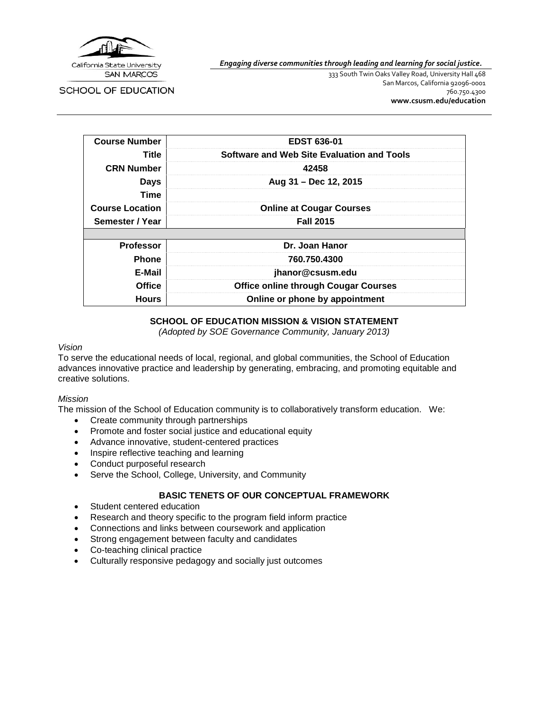

*Engaging diverse communities through leading and learning for social justice.*

SCHOOL OF EDUCATION

333 South Twin Oaks Valley Road, University Hall 468 San Marcos, California 92096-0001 760.750.4300 **[www.csusm.edu/education](http://www.csusm.edu/education)**

| <b>Course Number</b>   | <b>EDST 636-01</b>                          |
|------------------------|---------------------------------------------|
| Title                  | Software and Web Site Evaluation and Tools  |
| <b>CRN Number</b>      | 42458                                       |
| <b>Days</b>            | Aug 31 - Dec 12, 2015                       |
| Time                   |                                             |
| <b>Course Location</b> | <b>Online at Cougar Courses</b>             |
| Semester / Year        | <b>Fall 2015</b>                            |
|                        |                                             |
| <b>Professor</b>       | Dr. Joan Hanor                              |
| <b>Phone</b>           | 760.750.4300                                |
| E-Mail                 | jhanor@csusm.edu                            |
| <b>Office</b>          | <b>Office online through Cougar Courses</b> |
| <b>Hours</b>           | Online or phone by appointment              |

## **SCHOOL OF EDUCATION MISSION & VISION STATEMENT**

*(Adopted by SOE Governance Community, January 2013)*

#### *Vision*

To serve the educational needs of local, regional, and global communities, the School of Education advances innovative practice and leadership by generating, embracing, and promoting equitable and creative solutions.

#### *Mission*

The mission of the School of Education community is to collaboratively transform education. We:

- Create community through partnerships
- Promote and foster social justice and educational equity
- Advance innovative, student-centered practices
- Inspire reflective teaching and learning
- Conduct purposeful research
- Serve the School, College, University, and Community

## **BASIC TENETS OF OUR CONCEPTUAL FRAMEWORK**

- Student centered education
- Research and theory specific to the program field inform practice
- Connections and links between coursework and application
- Strong engagement between faculty and candidates
- Co-teaching clinical practice
- Culturally responsive pedagogy and socially just outcomes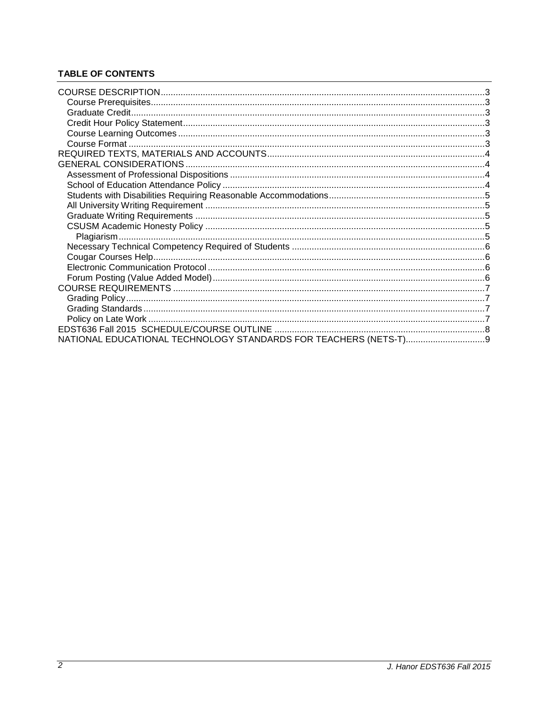# **TABLE OF CONTENTS**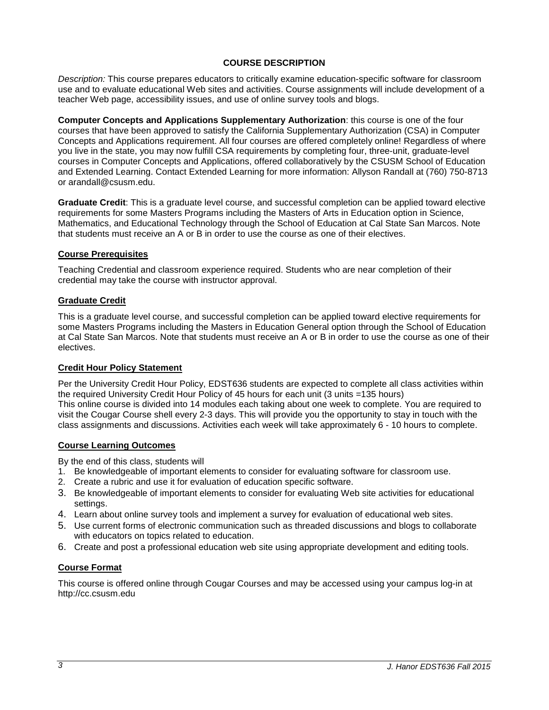## **COURSE DESCRIPTION**

<span id="page-2-0"></span>*Description:* This course prepares educators to critically examine education-specific software for classroom use and to evaluate educational Web sites and activities. Course assignments will include development of a teacher Web page, accessibility issues, and use of online survey tools and blogs.

**Computer Concepts and Applications Supplementary Authorization**: this course is one of the four courses that have been approved to satisfy the California Supplementary Authorization (CSA) in Computer Concepts and Applications requirement. All four courses are offered completely online! Regardless of where you live in the state, you may now fulfill CSA requirements by completing four, three-unit, graduate-level courses in Computer Concepts and Applications, offered collaboratively by the CSUSM School of Education and Extended Learning. Contact Extended Learning for more information: Allyson Randall at (760) 750-8713 or arandall@csusm.edu.

**Graduate Credit**: This is a graduate level course, and successful completion can be applied toward elective requirements for some Masters Programs including the Masters of Arts in Education option in Science, Mathematics, and Educational Technology through the School of Education at Cal State San Marcos. Note that students must receive an A or B in order to use the course as one of their electives.

### <span id="page-2-1"></span>**Course Prerequisites**

Teaching Credential and classroom experience required. Students who are near completion of their credential may take the course with instructor approval.

### <span id="page-2-2"></span>**Graduate Credit**

This is a graduate level course, and successful completion can be applied toward elective requirements for some Masters Programs including the Masters in Education General option through the School of Education at Cal State San Marcos. Note that students must receive an A or B in order to use the course as one of their electives.

#### <span id="page-2-3"></span>**Credit Hour Policy Statement**

Per the University Credit Hour Policy, EDST636 students are expected to complete all class activities within the required University Credit Hour Policy of 45 hours for each unit (3 units =135 hours) This online course is divided into 14 modules each taking about one week to complete. You are required to visit the Cougar Course shell every 2-3 days. This will provide you the opportunity to stay in touch with the class assignments and discussions. Activities each week will take approximately 6 - 10 hours to complete.

#### <span id="page-2-4"></span>**Course Learning Outcomes**

By the end of this class, students will

- 1. Be knowledgeable of important elements to consider for evaluating software for classroom use.
- 2. Create a rubric and use it for evaluation of education specific software.
- 3. Be knowledgeable of important elements to consider for evaluating Web site activities for educational settings.
- 4. Learn about online survey tools and implement a survey for evaluation of educational web sites.
- 5. Use current forms of electronic communication such as threaded discussions and blogs to collaborate with educators on topics related to education.
- 6. Create and post a professional education web site using appropriate development and editing tools.

## <span id="page-2-5"></span>**Course Format**

This course is offered online through Cougar Courses and may be accessed using your campus log-in at http://cc.csusm.edu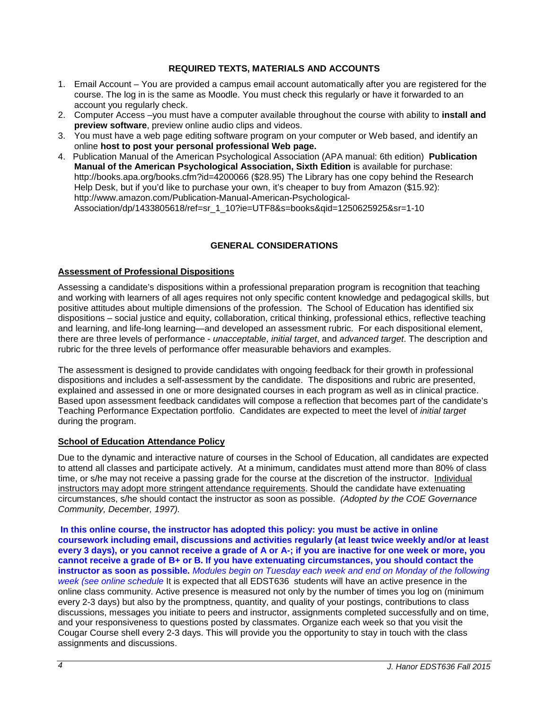# **REQUIRED TEXTS, MATERIALS AND ACCOUNTS**

- <span id="page-3-0"></span>1. Email Account – You are provided a campus email account automatically after you are registered for the course. The log in is the same as Moodle. You must check this regularly or have it forwarded to an account you regularly check.
- 2. Computer Access –you must have a computer available throughout the course with ability to **install and preview software**, preview online audio clips and videos.
- 3. You must have a web page editing software program on your computer or Web based, and identify an online **host to post your personal professional Web page.**
- 4. Publication Manual of the American Psychological Association (APA manual: 6th edition) **Publication Manual of the American Psychological Association, Sixth Edition** is available for purchase: http://books.apa.org/books.cfm?id=4200066 (\$28.95) The Library has one copy behind the Research Help Desk, but if you'd like to purchase your own, it's cheaper to buy from Amazon (\$15.92): http://www.amazon.com/Publication-Manual-American-Psychological-Association/dp/1433805618/ref=sr\_1\_10?ie=UTF8&s=books&qid=1250625925&sr=1-10

# **GENERAL CONSIDERATIONS**

## <span id="page-3-2"></span><span id="page-3-1"></span>**Assessment of Professional Dispositions**

Assessing a candidate's dispositions within a professional preparation program is recognition that teaching and working with learners of all ages requires not only specific content knowledge and pedagogical skills, but positive attitudes about multiple dimensions of the profession. The School of Education has identified six dispositions – social justice and equity, collaboration, critical thinking, professional ethics, reflective teaching and learning, and life-long learning—and developed an assessment rubric. For each dispositional element, there are three levels of performance - *unacceptable*, *initial target*, and *advanced target*. The description and rubric for the three levels of performance offer measurable behaviors and examples.

The assessment is designed to provide candidates with ongoing feedback for their growth in professional dispositions and includes a self-assessment by the candidate. The dispositions and rubric are presented, explained and assessed in one or more designated courses in each program as well as in clinical practice. Based upon assessment feedback candidates will compose a reflection that becomes part of the candidate's Teaching Performance Expectation portfolio. Candidates are expected to meet the level of *initial target* during the program.

## <span id="page-3-3"></span>**School of Education Attendance Policy**

Due to the dynamic and interactive nature of courses in the School of Education, all candidates are expected to attend all classes and participate actively. At a minimum, candidates must attend more than 80% of class time, or s/he may not receive a passing grade for the course at the discretion of the instructor. Individual instructors may adopt more stringent attendance requirements. Should the candidate have extenuating circumstances, s/he should contact the instructor as soon as possible. *(Adopted by the COE Governance Community, December, 1997).*

**In this online course, the instructor has adopted this policy: you must be active in online coursework including email, discussions and activities regularly (at least twice weekly and/or at least every 3 days), or you cannot receive a grade of A or A-; if you are inactive for one week or more, you cannot receive a grade of B+ or B. If you have extenuating circumstances, you should contact the instructor as soon as possible.** *Modules begin on Tuesday each week and end on Monday of the following week (see online schedule* It is expected that all EDST636 students will have an active presence in the online class community. Active presence is measured not only by the number of times you log on (minimum every 2-3 days) but also by the promptness, quantity, and quality of your postings, contributions to class discussions, messages you initiate to peers and instructor, assignments completed successfully and on time, and your responsiveness to questions posted by classmates. Organize each week so that you visit the Cougar Course shell every 2-3 days. This will provide you the opportunity to stay in touch with the class assignments and discussions.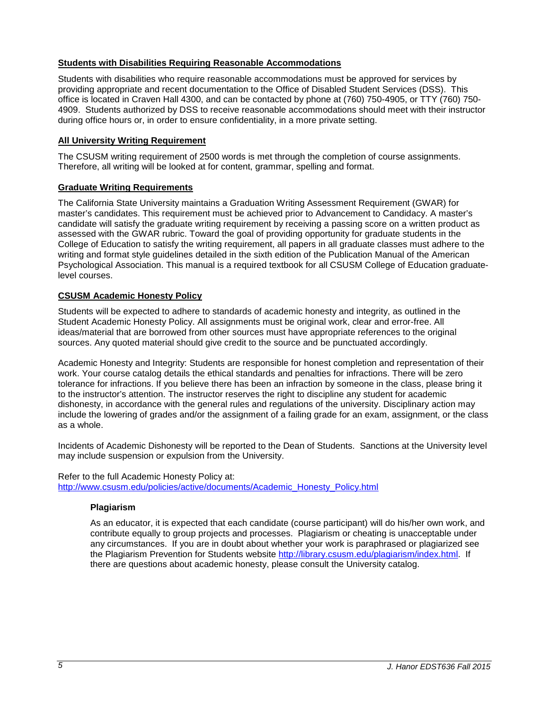## <span id="page-4-0"></span>**Students with Disabilities Requiring Reasonable Accommodations**

Students with disabilities who require reasonable accommodations must be approved for services by providing appropriate and recent documentation to the Office of Disabled Student Services (DSS). This office is located in Craven Hall 4300, and can be contacted by phone at (760) 750-4905, or TTY (760) 750- 4909. Students authorized by DSS to receive reasonable accommodations should meet with their instructor during office hours or, in order to ensure confidentiality, in a more private setting.

### <span id="page-4-1"></span>**All University Writing Requirement**

The CSUSM writing requirement of 2500 words is met through the completion of course assignments. Therefore, all writing will be looked at for content, grammar, spelling and format.

### <span id="page-4-2"></span>**Graduate Writing Requirements**

The California State University maintains a Graduation Writing Assessment Requirement (GWAR) for master's candidates. This requirement must be achieved prior to Advancement to Candidacy. A master's candidate will satisfy the graduate writing requirement by receiving a passing score on a written product as assessed with the GWAR rubric. Toward the goal of providing opportunity for graduate students in the College of Education to satisfy the writing requirement, all papers in all graduate classes must adhere to the writing and format style guidelines detailed in the sixth edition of the Publication Manual of the American Psychological Association. This manual is a required textbook for all CSUSM College of Education graduatelevel courses.

### <span id="page-4-3"></span>**CSUSM Academic Honesty Policy**

Students will be expected to adhere to standards of academic honesty and integrity, as outlined in the Student Academic Honesty Policy. All assignments must be original work, clear and error-free. All ideas/material that are borrowed from other sources must have appropriate references to the original sources. Any quoted material should give credit to the source and be punctuated accordingly.

Academic Honesty and Integrity: Students are responsible for honest completion and representation of their work. Your course catalog details the ethical standards and penalties for infractions. There will be zero tolerance for infractions. If you believe there has been an infraction by someone in the class, please bring it to the instructor's attention. The instructor reserves the right to discipline any student for academic dishonesty, in accordance with the general rules and regulations of the university. Disciplinary action may include the lowering of grades and/or the assignment of a failing grade for an exam, assignment, or the class as a whole.

Incidents of Academic Dishonesty will be reported to the Dean of Students. Sanctions at the University level may include suspension or expulsion from the University.

<span id="page-4-4"></span>Refer to the full Academic Honesty Policy at: [http://www.csusm.edu/policies/active/documents/Academic\\_Honesty\\_Policy.html](http://www.csusm.edu/policies/active/documents/Academic_Honesty_Policy.html)

#### **Plagiarism**

As an educator, it is expected that each candidate (course participant) will do his/her own work, and contribute equally to group projects and processes. Plagiarism or cheating is unacceptable under any circumstances. If you are in doubt about whether your work is paraphrased or plagiarized see the Plagiarism Prevention for Students website [http://library.csusm.edu/plagiarism/index.html.](http://library.csusm.edu/plagiarism/index.html) If there are questions about academic honesty, please consult the University catalog.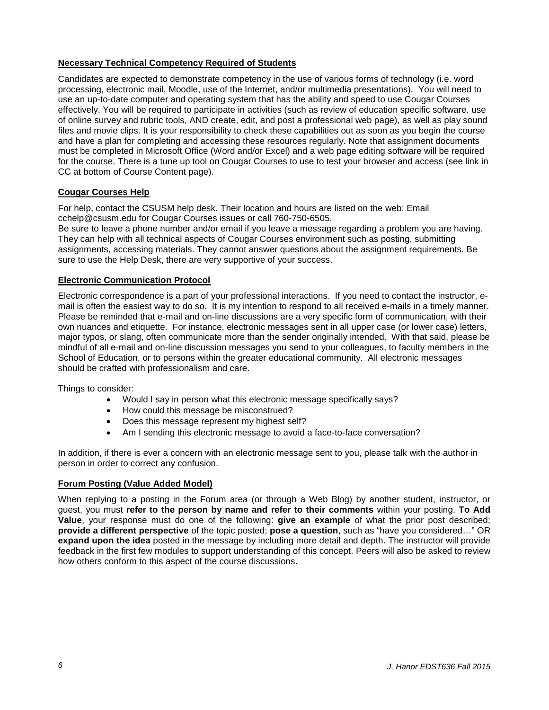# <span id="page-5-0"></span>**Necessary Technical Competency Required of Students**

Candidates are expected to demonstrate competency in the use of various forms of technology (i.e. word processing, electronic mail, Moodle, use of the Internet, and/or multimedia presentations). You will need to use an up-to-date computer and operating system that has the ability and speed to use Cougar Courses effectively. You will be required to participate in activities (such as review of education specific software, use of online survey and rubric tools, AND create, edit, and post a professional web page), as well as play sound files and movie clips. It is your responsibility to check these capabilities out as soon as you begin the course and have a plan for completing and accessing these resources regularly. Note that assignment documents must be completed in Microsoft Office (Word and/or Excel) and a web page editing software will be required for the course. There is a tune up tool on Cougar Courses to use to test your browser and access (see link in CC at bottom of Course Content page).

## <span id="page-5-1"></span>**Cougar Courses Help**

For help, contact the CSUSM help desk. Their location and hours are listed on the web: Email cchelp@csusm.edu for Cougar Courses issues or call 760-750-6505.

Be sure to leave a phone number and/or email if you leave a message regarding a problem you are having. They can help with all technical aspects of Cougar Courses environment such as posting, submitting assignments, accessing materials. They cannot answer questions about the assignment requirements. Be sure to use the Help Desk, there are very supportive of your success.

# <span id="page-5-2"></span>**Electronic Communication Protocol**

Electronic correspondence is a part of your professional interactions. If you need to contact the instructor, email is often the easiest way to do so. It is my intention to respond to all received e-mails in a timely manner. Please be reminded that e-mail and on-line discussions are a very specific form of communication, with their own nuances and etiquette. For instance, electronic messages sent in all upper case (or lower case) letters, major typos, or slang, often communicate more than the sender originally intended. With that said, please be mindful of all e-mail and on-line discussion messages you send to your colleagues, to faculty members in the School of Education, or to persons within the greater educational community. All electronic messages should be crafted with professionalism and care.

Things to consider:

- Would I say in person what this electronic message specifically says?
- How could this message be misconstrued?
- Does this message represent my highest self?
- Am I sending this electronic message to avoid a face-to-face conversation?

In addition, if there is ever a concern with an electronic message sent to you, please talk with the author in person in order to correct any confusion.

## <span id="page-5-3"></span>**Forum Posting (Value Added Model)**

When replying to a posting in the Forum area (or through a Web Blog) by another student, instructor, or guest, you must **refer to the person by name and refer to their comments** within your posting. **To Add Value**, your response must do one of the following: **give an example** of what the prior post described; **provide a different perspective** of the topic posted; **pose a question**, such as "have you considered…" OR **expand upon the idea** posted in the message by including more detail and depth. The instructor will provide feedback in the first few modules to support understanding of this concept. Peers will also be asked to review how others conform to this aspect of the course discussions.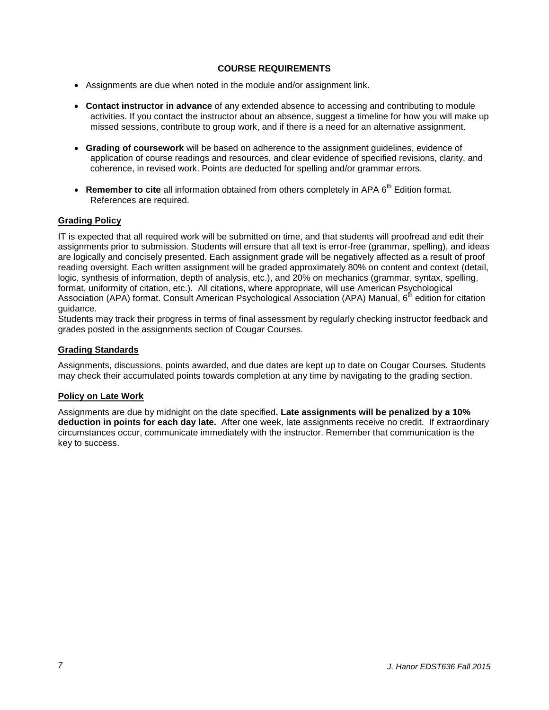# **COURSE REQUIREMENTS**

- <span id="page-6-0"></span>• Assignments are due when noted in the module and/or assignment link.
- **Contact instructor in advance** of any extended absence to accessing and contributing to module activities. If you contact the instructor about an absence, suggest a timeline for how you will make up missed sessions, contribute to group work, and if there is a need for an alternative assignment.
- **Grading of coursework** will be based on adherence to the assignment guidelines, evidence of application of course readings and resources, and clear evidence of specified revisions, clarity, and coherence, in revised work. Points are deducted for spelling and/or grammar errors.
- **Remember to cite** all information obtained from others completely in APA 6<sup>th</sup> Edition format. References are required.

## <span id="page-6-1"></span>**Grading Policy**

IT is expected that all required work will be submitted on time, and that students will proofread and edit their assignments prior to submission. Students will ensure that all text is error-free (grammar, spelling), and ideas are logically and concisely presented. Each assignment grade will be negatively affected as a result of proof reading oversight. Each written assignment will be graded approximately 80% on content and context (detail, logic, synthesis of information, depth of analysis, etc.), and 20% on mechanics (grammar, syntax, spelling, format, uniformity of citation, etc.). All citations, where appropriate, will use American Psychological Association (APA) format. Consult American Psychological Association (APA) Manual, 6<sup>th</sup> edition for citation guidance.

Students may track their progress in terms of final assessment by regularly checking instructor feedback and grades posted in the assignments section of Cougar Courses.

### <span id="page-6-2"></span>**Grading Standards**

Assignments, discussions, points awarded, and due dates are kept up to date on Cougar Courses. Students may check their accumulated points towards completion at any time by navigating to the grading section.

#### <span id="page-6-3"></span>**Policy on Late Work**

Assignments are due by midnight on the date specified**. Late assignments will be penalized by a 10% deduction in points for each day late.** After one week, late assignments receive no credit. If extraordinary circumstances occur, communicate immediately with the instructor. Remember that communication is the key to success.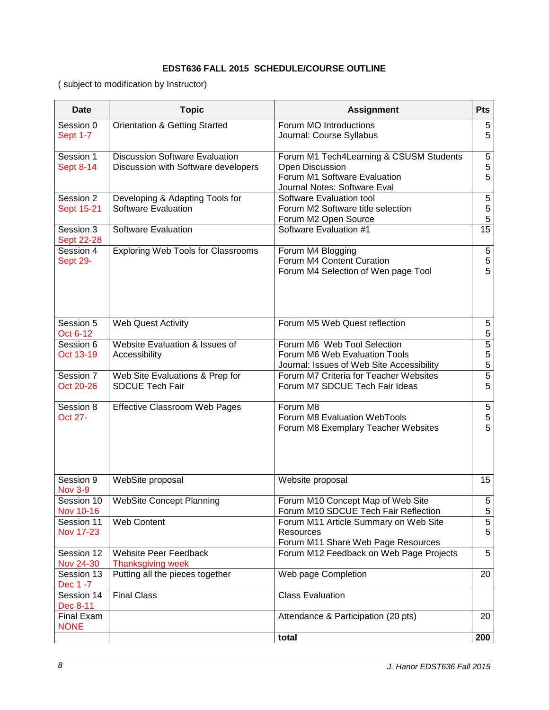# **EDST636 FALL 2015 SCHEDULE/COURSE OUTLINE**

<span id="page-7-0"></span>( subject to modification by Instructor)

| <b>Date</b>                    | <b>Topic</b>                                                                 | <b>Assignment</b>                                                                                                          | Pts                                        |
|--------------------------------|------------------------------------------------------------------------------|----------------------------------------------------------------------------------------------------------------------------|--------------------------------------------|
| Session 0<br><b>Sept 1-7</b>   | <b>Orientation &amp; Getting Started</b>                                     | Forum MO Introductions<br>Journal: Course Syllabus                                                                         | 5<br>5                                     |
| Session 1<br><b>Sept 8-14</b>  | <b>Discussion Software Evaluation</b><br>Discussion with Software developers | Forum M1 Tech4Learning & CSUSM Students<br>Open Discussion<br>Forum M1 Software Evaluation<br>Journal Notes: Software Eval | $\sqrt{5}$<br>5<br>5                       |
| Session 2<br>Sept 15-21        | Developing & Adapting Tools for<br>Software Evaluation                       | Software Evaluation tool<br>Forum M2 Software title selection<br>Forum M2 Open Source                                      | $\mathbf 5$<br>$\frac{5}{5}$               |
| Session 3<br>Sept 22-28        | <b>Software Evaluation</b>                                                   | Software Evaluation #1                                                                                                     | 15                                         |
| Session 4<br>Sept 29-          | <b>Exploring Web Tools for Classrooms</b>                                    | Forum M4 Blogging<br>Forum M4 Content Curation<br>Forum M4 Selection of Wen page Tool                                      | $\begin{array}{c} 5 \\ 5 \\ 5 \end{array}$ |
| Session 5<br>Oct 6-12          | Web Quest Activity                                                           | Forum M5 Web Quest reflection                                                                                              | 5<br>$\overline{5}$                        |
| Session 6<br>Oct 13-19         | Website Evaluation & Issues of<br>Accessibility                              | Forum M6 Web Tool Selection<br>Forum M6 Web Evaluation Tools<br>Journal: Issues of Web Site Accessibility                  | $\overline{5}$<br>$\frac{5}{5}$            |
| Session 7<br>Oct 20-26         | Web Site Evaluations & Prep for<br><b>SDCUE Tech Fair</b>                    | Forum M7 Criteria for Teacher Websites<br>Forum M7 SDCUE Tech Fair Ideas                                                   | 5                                          |
| Session 8<br>Oct 27-           | Effective Classroom Web Pages                                                | Forum M8<br>Forum M8 Evaluation WebTools<br>Forum M8 Exemplary Teacher Websites                                            | $\begin{array}{c} 5 \\ 5 \\ 5 \end{array}$ |
| Session 9<br><b>Nov 3-9</b>    | WebSite proposal                                                             | Website proposal                                                                                                           | 15                                         |
| Session 10<br>Nov 10-16        | <b>WebSite Concept Planning</b>                                              | Forum M10 Concept Map of Web Site<br>Forum M10 SDCUE Tech Fair Reflection                                                  | $5\phantom{.0}$<br>5                       |
| Session 11<br><b>Nov 17-23</b> | <b>Web Content</b>                                                           | Forum M11 Article Summary on Web Site<br>Resources<br>Forum M11 Share Web Page Resources                                   | $\overline{5}$<br>5                        |
| Session 12<br>Nov 24-30        | <b>Website Peer Feedback</b><br>Thanksgiving week                            | Forum M12 Feedback on Web Page Projects                                                                                    | 5                                          |
| Session 13<br>Dec 1 -7         | Putting all the pieces together                                              | Web page Completion                                                                                                        | 20                                         |
| Session 14<br>Dec 8-11         | <b>Final Class</b>                                                           | <b>Class Evaluation</b>                                                                                                    |                                            |
| Final Exam<br><b>NONE</b>      |                                                                              | Attendance & Participation (20 pts)                                                                                        | 20                                         |
|                                |                                                                              | total                                                                                                                      | 200                                        |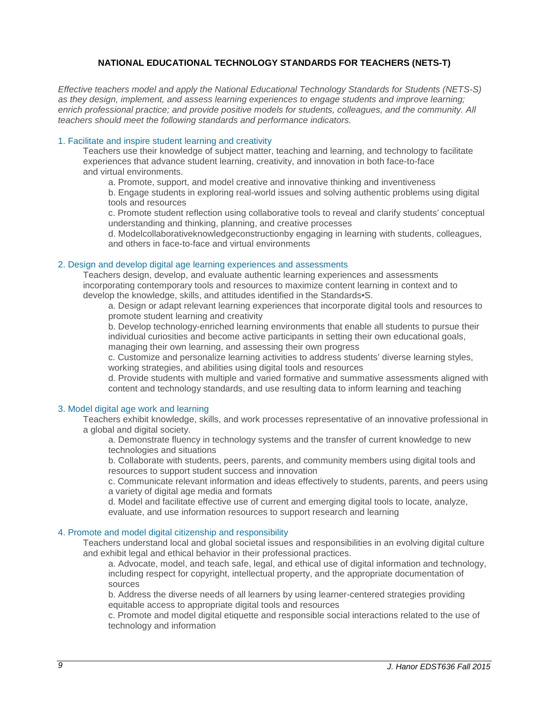# **NATIONAL EDUCATIONAL TECHNOLOGY STANDARDS FOR TEACHERS (NETS-T)**

<span id="page-8-0"></span>*Effective teachers model and apply the National Educational Technology Standards for Students (NETS-S) as they design, implement, and assess learning experiences to engage students and improve learning; enrich professional practice; and provide positive models for students, colleagues, and the community. All teachers should meet the following standards and performance indicators.*

#### 1. Facilitate and inspire student learning and creativity

Teachers use their knowledge of subject matter, teaching and learning, and technology to facilitate experiences that advance student learning, creativity, and innovation in both face-to-face and virtual environments.

a. Promote, support, and model creative and innovative thinking and inventiveness b. Engage students in exploring real-world issues and solving authentic problems using digital tools and resources

c. Promote student reflection using collaborative tools to reveal and clarify students' conceptual understanding and thinking, planning, and creative processes

d. Modelcollaborativeknowledgeconstructionby engaging in learning with students, colleagues, and others in face-to-face and virtual environments

#### 2. Design and develop digital age learning experiences and assessments

Teachers design, develop, and evaluate authentic learning experiences and assessments incorporating contemporary tools and resources to maximize content learning in context and to develop the knowledge, skills, and attitudes identified in the Standards•S.

a. Design or adapt relevant learning experiences that incorporate digital tools and resources to promote student learning and creativity

b. Develop technology-enriched learning environments that enable all students to pursue their individual curiosities and become active participants in setting their own educational goals, managing their own learning, and assessing their own progress

c. Customize and personalize learning activities to address students' diverse learning styles, working strategies, and abilities using digital tools and resources

d. Provide students with multiple and varied formative and summative assessments aligned with content and technology standards, and use resulting data to inform learning and teaching

#### 3. Model digital age work and learning

Teachers exhibit knowledge, skills, and work processes representative of an innovative professional in a global and digital society.

a. Demonstrate fluency in technology systems and the transfer of current knowledge to new technologies and situations

b. Collaborate with students, peers, parents, and community members using digital tools and resources to support student success and innovation

c. Communicate relevant information and ideas effectively to students, parents, and peers using a variety of digital age media and formats

d. Model and facilitate effective use of current and emerging digital tools to locate, analyze, evaluate, and use information resources to support research and learning

#### 4. Promote and model digital citizenship and responsibility

Teachers understand local and global societal issues and responsibilities in an evolving digital culture and exhibit legal and ethical behavior in their professional practices.

a. Advocate, model, and teach safe, legal, and ethical use of digital information and technology, including respect for copyright, intellectual property, and the appropriate documentation of sources

b. Address the diverse needs of all learners by using learner-centered strategies providing equitable access to appropriate digital tools and resources

c. Promote and model digital etiquette and responsible social interactions related to the use of technology and information